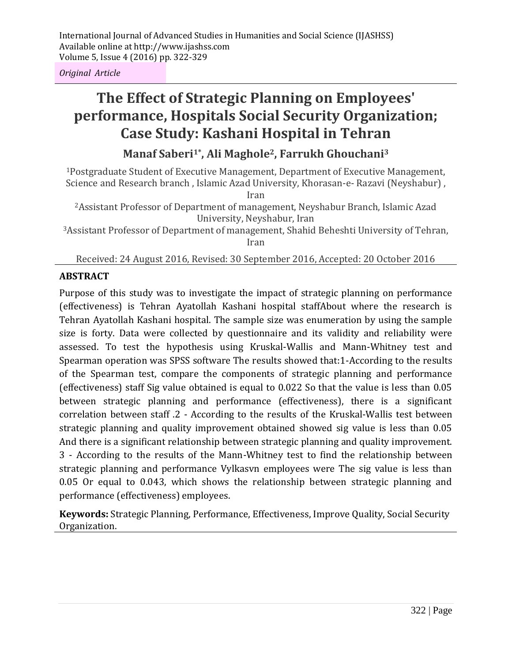*Original Article*

# **The Effect of Strategic Planning on Employees' performance, Hospitals Social Security Organization; Case Study: Kashani Hospital in Tehran**

## **Manaf Saberi1\*, Ali Maghole2, Farrukh Ghouchani<sup>3</sup>**

<sup>1</sup>Postgraduate Student of Executive Management, Department of Executive Management, Science and Research branch , Islamic Azad University, Khorasan-e- Razavi (Neyshabur) ,

Iran

<sup>2</sup>Assistant Professor of Department of management, Neyshabur Branch, Islamic Azad University, Neyshabur, Iran

<sup>3</sup>Assistant Professor of Department of management, Shahid Beheshti University of Tehran, Iran

Received: 24 August 2016, Revised: 30 September 2016, Accepted: 20 October 2016

## **ABSTRACT**

Purpose of this study was to investigate the impact of strategic planning on performance (effectiveness) is Tehran Ayatollah Kashani hospital staffAbout where the research is Tehran Ayatollah Kashani hospital. The sample size was enumeration by using the sample size is forty. Data were collected by questionnaire and its validity and reliability were assessed. To test the hypothesis using Kruskal-Wallis and Mann-Whitney test and Spearman operation was SPSS software The results showed that:1-According to the results of the Spearman test, compare the components of strategic planning and performance (effectiveness) staff Sig value obtained is equal to 0.022 So that the value is less than 0.05 between strategic planning and performance (effectiveness), there is a significant correlation between staff .2 - According to the results of the Kruskal-Wallis test between strategic planning and quality improvement obtained showed sig value is less than 0.05 And there is a significant relationship between strategic planning and quality improvement. 3 - According to the results of the Mann-Whitney test to find the relationship between strategic planning and performance Vylkasvn employees were The sig value is less than 0.05 Or equal to 0.043, which shows the relationship between strategic planning and performance (effectiveness) employees.

**Keywords:** Strategic Planning, Performance, Effectiveness, Improve Quality, Social Security Organization.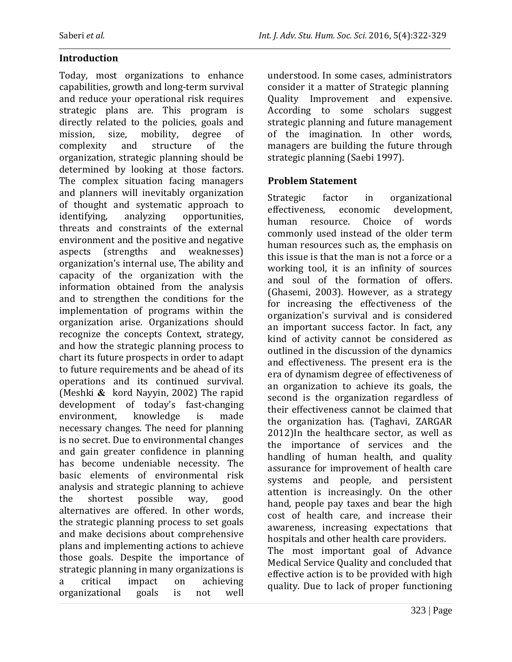Today, most organizations to enhance capabilities, growth and long-term survival and reduce your operational risk requires strategic plans are. This program is directly related to the policies, goals and mission, size, mobility, degree of complexity and structure of the organization, strategic planning should be determined by looking at those factors. The complex situation facing managers and planners will inevitably organization of thought and systematic approach to identifying, analyzing opportunities, threats and constraints of the external environment and the positive and negative aspects (strengths and weaknesses) organization's internal use, The ability and capacity of the organization with the information obtained from the analysis and to strengthen the conditions for the implementation of programs within the organization arise. Organizations should recognize the concepts Context, strategy, and how the strategic planning process to chart its future prospects in order to adapt to future requirements and be ahead of its operations and its continued survival. (Meshki **&** kord Nayyin, 2002) The rapid development of today's fast-changing environment, knowledge is made necessary changes. The need for planning is no secret. Due to environmental changes and gain greater confidence in planning has become undeniable necessity. The basic elements of environmental risk analysis and strategic planning to achieve the shortest possible way, good alternatives are offered. In other words, the strategic planning process to set goals and make decisions about comprehensive plans and implementing actions to achieve those goals. Despite the importance of strategic planning in many organizations is a critical impact on achieving organizational goals is not well understood. In some cases, administrators consider it a matter of Strategic planning Quality Improvement and expensive. According to some scholars suggest strategic planning and future management of the imagination. In other words, managers are building the future through strategic planning (Saebi 1997).

#### **Problem Statement**

Strategic factor in organizational effectiveness, economic development, human resource. Choice of words commonly used instead of the older term human resources such as, the emphasis on this issue is that the man is not a force or a working tool, it is an infinity of sources and soul of the formation of offers. (Ghasemi, 2003). However, as a strategy for increasing the effectiveness of the organization's survival and is considered an important success factor. In fact, any kind of activity cannot be considered as outlined in the discussion of the dynamics and effectiveness. The present era is the era of dynamism degree of effectiveness of an organization to achieve its goals, the second is the organization regardless of their effectiveness cannot be claimed that the organization has. (Taghavi, ZARGAR 2012)In the healthcare sector, as well as the importance of services and the handling of human health, and quality assurance for improvement of health care systems and people, and persistent attention is increasingly. On the other hand, people pay taxes and bear the high cost of health care, and increase their awareness, increasing expectations that hospitals and other health care providers. The most important goal of Advance Medical Service Quality and concluded that effective action is to be provided with high quality. Due to lack of proper functioning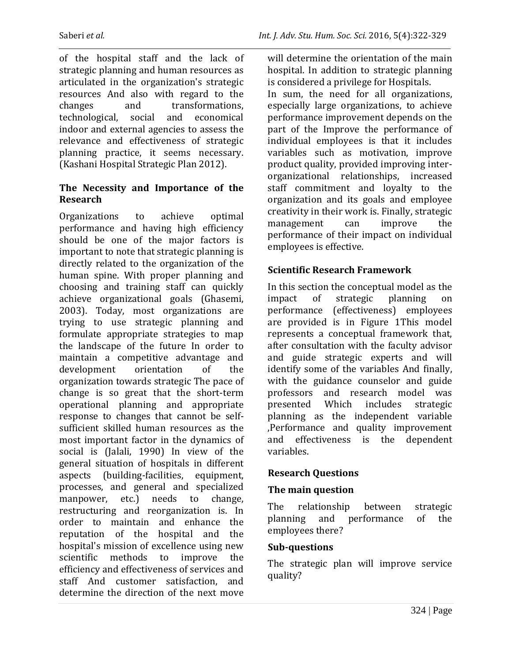of the hospital staff and the lack of strategic planning and human resources as articulated in the organization's strategic resources And also with regard to the changes and transformations, technological, social and economical indoor and external agencies to assess the relevance and effectiveness of strategic planning practice, it seems necessary. (Kashani Hospital Strategic Plan 2012).

## **The Necessity and Importance of the Research**

Organizations to achieve optimal performance and having high efficiency should be one of the major factors is important to note that strategic planning is directly related to the organization of the human spine. With proper planning and choosing and training staff can quickly achieve organizational goals (Ghasemi, 2003). Today, most organizations are trying to use strategic planning and formulate appropriate strategies to map the landscape of the future In order to maintain a competitive advantage and development orientation of the organization towards strategic The pace of change is so great that the short-term operational planning and appropriate response to changes that cannot be selfsufficient skilled human resources as the most important factor in the dynamics of social is (Jalali, 1990) In view of the general situation of hospitals in different aspects (building-facilities, equipment, processes, and general and specialized manpower, etc.) needs to change, restructuring and reorganization is. In order to maintain and enhance the reputation of the hospital and the hospital's mission of excellence using new scientific methods to improve the efficiency and effectiveness of services and staff And customer satisfaction, and determine the direction of the next move

will determine the orientation of the main hospital. In addition to strategic planning is considered a privilege for Hospitals. In sum, the need for all organizations, especially large organizations, to achieve performance improvement depends on the part of the Improve the performance of individual employees is that it includes variables such as motivation, improve product quality, provided improving interorganizational relationships, increased staff commitment and loyalty to the organization and its goals and employee creativity in their work is. Finally, strategic management can improve the performance of their impact on individual employees is effective.

## **Scientific Research Framework**

In this section the conceptual model as the impact of strategic planning on performance (effectiveness) employees are provided is in Figure 1This model represents a conceptual framework that, after consultation with the faculty advisor and guide strategic experts and will identify some of the variables And finally, with the guidance counselor and guide professors and research model was presented Which includes strategic planning as the independent variable ,Performance and quality improvement and effectiveness is the dependent variables.

## **Research Questions**

## **The main question**

The relationship between strategic planning and performance of the employees there?

#### **Sub-questions**

The strategic plan will improve service quality?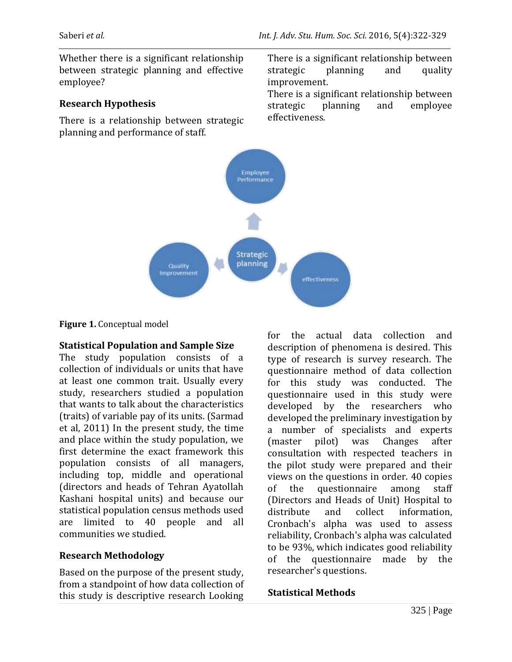Whether there is a significant relationship between strategic planning and effective employee?

#### **Research Hypothesis**

There is a relationship between strategic planning and performance of staff.

There is a significant relationship between strategic planning and quality improvement.

There is a significant relationship between strategic planning and employee effectiveness.



#### **Figure 1.** Conceptual model

#### **Statistical Population and Sample Size**

The study population consists of a collection of individuals or units that have at least one common trait. Usually every study, researchers studied a population that wants to talk about the characteristics (traits) of variable pay of its units. (Sarmad et al, 2011) In the present study, the time and place within the study population, we first determine the exact framework this population consists of all managers, including top, middle and operational (directors and heads of Tehran Ayatollah Kashani hospital units) and because our statistical population census methods used are limited to 40 people and all communities we studied.

## **Research Methodology**

Based on the purpose of the present study, from a standpoint of how data collection of this study is descriptive research Looking for the actual data collection and description of phenomena is desired. This type of research is survey research. The questionnaire method of data collection for this study was conducted. The questionnaire used in this study were developed by the researchers who developed the preliminary investigation by a number of specialists and experts (master pilot) was Changes after consultation with respected teachers in the pilot study were prepared and their views on the questions in order. 40 copies of the questionnaire among staff (Directors and Heads of Unit) Hospital to distribute and collect information, Cronbach's alpha was used to assess reliability, Cronbach's alpha was calculated to be 93%, which indicates good reliability of the questionnaire made by the researcher's questions.

## **Statistical Methods**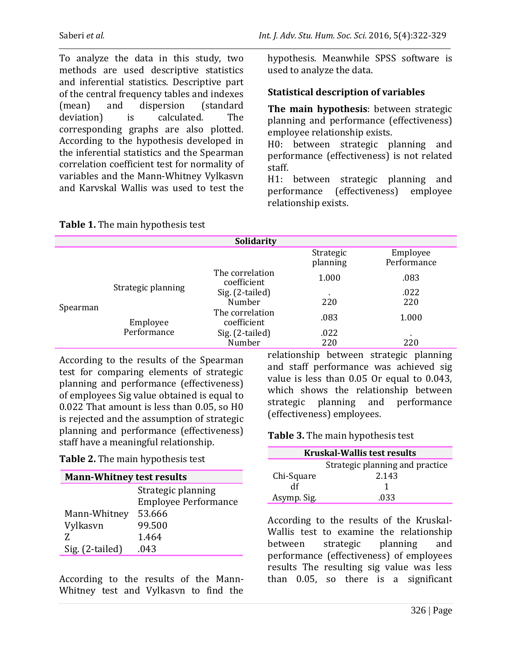To analyze the data in this study, two methods are used descriptive statistics and inferential statistics. Descriptive part of the central frequency tables and indexes (mean) and dispersion (standard deviation) is calculated. The corresponding graphs are also plotted. According to the hypothesis developed in the inferential statistics and the Spearman correlation coefficient test for normality of variables and the Mann-Whitney Vylkasvn and Karvskal Wallis was used to test the

hypothesis. Meanwhile SPSS software is used to analyze the data.

## **Statistical description of variables**

**The main hypothesis**: between strategic planning and performance (effectiveness) employee relationship exists.

H0: between strategic planning and performance (effectiveness) is not related staff.

H1: between strategic planning and performance (effectiveness) employee relationship exists.

|          |                         | Solidarity                     |                       |                         |
|----------|-------------------------|--------------------------------|-----------------------|-------------------------|
|          |                         |                                | Strategic<br>planning | Employee<br>Performance |
| Spearman | Strategic planning      | The correlation<br>coefficient | 1.000                 | .083                    |
|          |                         | Sig. (2-tailed)                | ٠                     | .022                    |
|          |                         | Number                         | 220                   | 220                     |
|          | Employee<br>Performance | The correlation<br>coefficient | .083                  | 1.000                   |
|          |                         | Sig. (2-tailed)                | .022                  | $\blacksquare$          |
|          |                         | Number                         | 220                   | 220                     |

#### **Table 1.** The main hypothesis test

According to the results of the Spearman test for comparing elements of strategic planning and performance (effectiveness) of employees Sig value obtained is equal to 0.022 That amount is less than 0.05, so H0 is rejected and the assumption of strategic planning and performance (effectiveness) staff have a meaningful relationship.

#### **Table 2.** The main hypothesis test

| <b>Mann-Whitney test results</b> |                             |  |
|----------------------------------|-----------------------------|--|
|                                  | Strategic planning          |  |
|                                  | <b>Employee Performance</b> |  |
| Mann-Whitney                     | 53.666                      |  |
| Vylkasvn                         | 99.500                      |  |
| 7.                               | 1.464                       |  |
| Sig. (2-tailed)                  | .043                        |  |

According to the results of the Mann-Whitney test and Vylkasvn to find the

relationship between strategic planning and staff performance was achieved sig value is less than 0.05 Or equal to 0.043, which shows the relationship between strategic planning and performance (effectiveness) employees.

## **Table 3.** The main hypothesis test

| <b>Kruskal-Wallis test results</b> |                                 |  |
|------------------------------------|---------------------------------|--|
|                                    | Strategic planning and practice |  |
| Chi-Square                         | 2.143                           |  |
| df                                 |                                 |  |
| Asymp. Sig.                        | .033                            |  |

According to the results of the Kruskal-Wallis test to examine the relationship between strategic planning and performance (effectiveness) of employees results The resulting sig value was less than 0.05, so there is a significant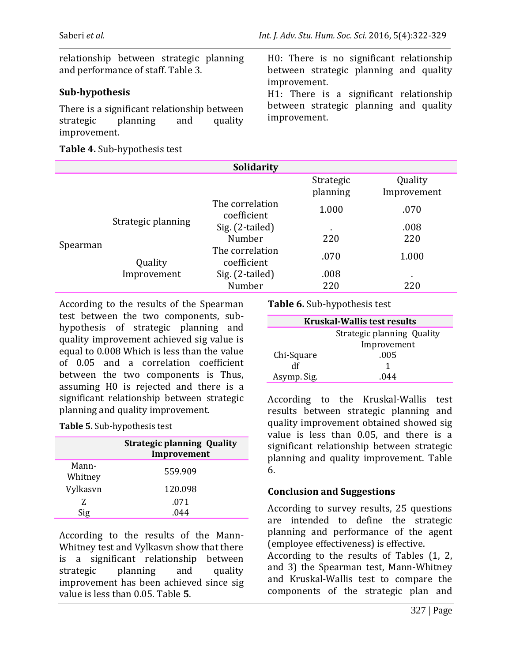relationship between strategic planning and performance of staff. Table 3.

#### **Sub-hypothesis**

There is a significant relationship between strategic planning and quality improvement.

#### **Table 4.** Sub-hypothesis test

H0: There is no significant relationship between strategic planning and quality improvement.

H1: There is a significant relationship between strategic planning and quality improvement.

|          |                    | <b>Solidarity</b>              |                       |                        |
|----------|--------------------|--------------------------------|-----------------------|------------------------|
|          |                    |                                | Strategic<br>planning | Quality<br>Improvement |
| Spearman | Strategic planning | The correlation<br>coefficient | 1.000                 | .070                   |
|          |                    | Sig. (2-tailed)                |                       | .008                   |
|          |                    | Number                         | 220                   | 220                    |
|          | Quality            | The correlation<br>coefficient | .070                  | 1.000                  |
|          | Improvement        | Sig. (2-tailed)                | .008                  | ٠                      |
|          |                    | Number                         | 220                   | 220                    |

According to the results of the Spearman test between the two components, subhypothesis of strategic planning and quality improvement achieved sig value is equal to 0.008 Which is less than the value of 0.05 and a correlation coefficient between the two components is Thus, assuming H0 is rejected and there is a significant relationship between strategic planning and quality improvement.

**Table 5.** Sub-hypothesis test

|                  | <b>Strategic planning Quality</b><br>Improvement |
|------------------|--------------------------------------------------|
| Mann-<br>Whitney | 559.909                                          |
| Vylkasvn         | 120.098                                          |
| Z.               | .071                                             |
|                  |                                                  |

According to the results of the Mann-Whitney test and Vylkasvn show that there is a significant relationship between strategic planning and quality improvement has been achieved since sig value is less than 0.05. Table **5**.

**Table 6.** Sub-hypothesis test

| <b>Kruskal-Wallis test results</b> |                            |  |
|------------------------------------|----------------------------|--|
|                                    | Strategic planning Quality |  |
|                                    | Improvement                |  |
| Chi-Square                         | .005                       |  |
| df                                 |                            |  |
| Asymp. Sig.                        | (144)                      |  |

According to the Kruskal-Wallis test results between strategic planning and quality improvement obtained showed sig value is less than 0.05, and there is a significant relationship between strategic planning and quality improvement. Table 6.

## **Conclusion and Suggestions**

According to survey results, 25 questions are intended to define the strategic planning and performance of the agent (employee effectiveness) is effective.

According to the results of Tables (1, 2, and 3) the Spearman test, Mann-Whitney and Kruskal-Wallis test to compare the components of the strategic plan and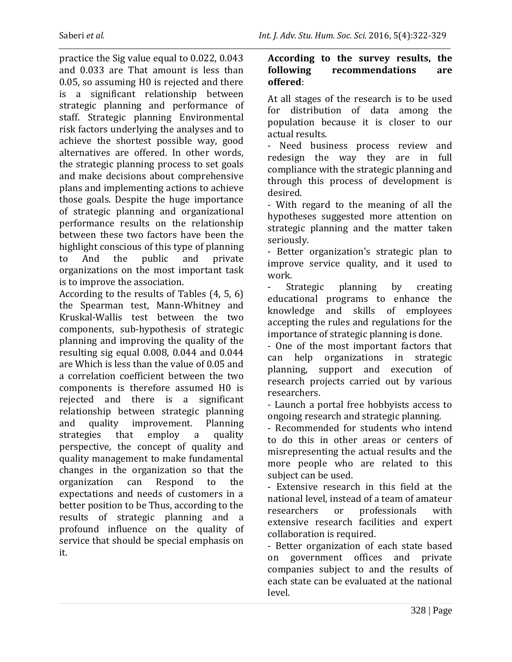practice the Sig value equal to 0.022, 0.043 and 0.033 are That amount is less than 0.05, so assuming H0 is rejected and there is a significant relationship between strategic planning and performance of staff. Strategic planning Environmental risk factors underlying the analyses and to achieve the shortest possible way, good alternatives are offered. In other words, the strategic planning process to set goals and make decisions about comprehensive plans and implementing actions to achieve those goals. Despite the huge importance of strategic planning and organizational performance results on the relationship between these two factors have been the highlight conscious of this type of planning to And the public and private organizations on the most important task is to improve the association.

According to the results of Tables (4, 5, 6) the Spearman test, Mann-Whitney and Kruskal-Wallis test between the two components, sub-hypothesis of strategic planning and improving the quality of the resulting sig equal 0.008, 0.044 and 0.044 are Which is less than the value of 0.05 and a correlation coefficient between the two components is therefore assumed H0 is rejected and there is a significant relationship between strategic planning and quality improvement. Planning strategies that employ a quality perspective, the concept of quality and quality management to make fundamental changes in the organization so that the organization can Respond to the expectations and needs of customers in a better position to be Thus, according to the results of strategic planning and a profound influence on the quality of service that should be special emphasis on it.

#### **According to the survey results, the following recommendations are offered**:

At all stages of the research is to be used for distribution of data among the population because it is closer to our actual results.

- Need business process review and redesign the way they are in full compliance with the strategic planning and through this process of development is desired.

- With regard to the meaning of all the hypotheses suggested more attention on strategic planning and the matter taken seriously.

- Better organization's strategic plan to improve service quality, and it used to work.

Strategic planning by creating educational programs to enhance the knowledge and skills of employees accepting the rules and regulations for the importance of strategic planning is done.

- One of the most important factors that can help organizations in strategic planning, support and execution of research projects carried out by various researchers.

- Launch a portal free hobbyists access to ongoing research and strategic planning.

- Recommended for students who intend to do this in other areas or centers of misrepresenting the actual results and the more people who are related to this subject can be used.

- Extensive research in this field at the national level, instead of a team of amateur researchers or professionals with extensive research facilities and expert collaboration is required.

- Better organization of each state based on government offices and private companies subject to and the results of each state can be evaluated at the national level.